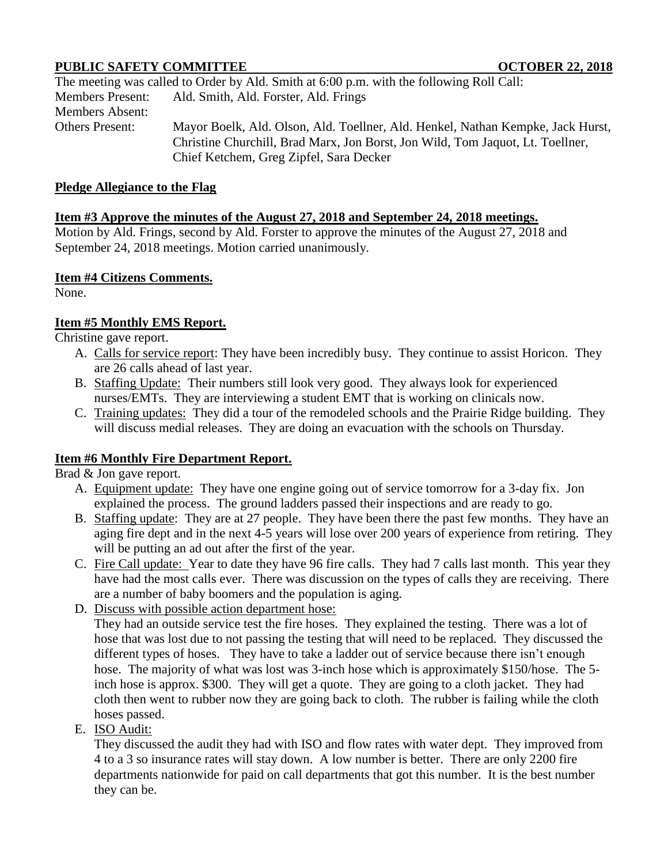## **PUBLIC SAFETY COMMITTEE OCTOBER 22, 2018**

The meeting was called to Order by Ald. Smith at 6:00 p.m. with the following Roll Call: Members Present: Ald. Smith, Ald. Forster, Ald. Frings Members Absent: Others Present: Mayor Boelk, Ald. Olson, Ald. Toellner, Ald. Henkel, Nathan Kempke, Jack Hurst, Christine Churchill, Brad Marx, Jon Borst, Jon Wild, Tom Jaquot, Lt. Toellner, Chief Ketchem, Greg Zipfel, Sara Decker

#### **Pledge Allegiance to the Flag**

#### **Item #3 Approve the minutes of the August 27, 2018 and September 24, 2018 meetings.**

Motion by Ald. Frings, second by Ald. Forster to approve the minutes of the August 27, 2018 and September 24, 2018 meetings. Motion carried unanimously.

#### **Item #4 Citizens Comments.**

None.

## **Item #5 Monthly EMS Report.**

Christine gave report.

- A. Calls for service report: They have been incredibly busy. They continue to assist Horicon. They are 26 calls ahead of last year.
- B. Staffing Update: Their numbers still look very good. They always look for experienced nurses/EMTs. They are interviewing a student EMT that is working on clinicals now.
- C. Training updates: They did a tour of the remodeled schools and the Prairie Ridge building. They will discuss medial releases. They are doing an evacuation with the schools on Thursday.

## **Item #6 Monthly Fire Department Report.**

Brad & Jon gave report.

- A. Equipment update: They have one engine going out of service tomorrow for a 3-day fix. Jon explained the process. The ground ladders passed their inspections and are ready to go.
- B. Staffing update: They are at 27 people. They have been there the past few months. They have an aging fire dept and in the next 4-5 years will lose over 200 years of experience from retiring. They will be putting an ad out after the first of the year.
- C. Fire Call update: Year to date they have 96 fire calls. They had 7 calls last month. This year they have had the most calls ever. There was discussion on the types of calls they are receiving. There are a number of baby boomers and the population is aging.
- D. Discuss with possible action department hose:

They had an outside service test the fire hoses. They explained the testing. There was a lot of hose that was lost due to not passing the testing that will need to be replaced. They discussed the different types of hoses. They have to take a ladder out of service because there isn't enough hose. The majority of what was lost was 3-inch hose which is approximately \$150/hose. The 5inch hose is approx. \$300. They will get a quote. They are going to a cloth jacket. They had cloth then went to rubber now they are going back to cloth. The rubber is failing while the cloth hoses passed.

## E. ISO Audit:

They discussed the audit they had with ISO and flow rates with water dept. They improved from 4 to a 3 so insurance rates will stay down. A low number is better. There are only 2200 fire departments nationwide for paid on call departments that got this number. It is the best number they can be.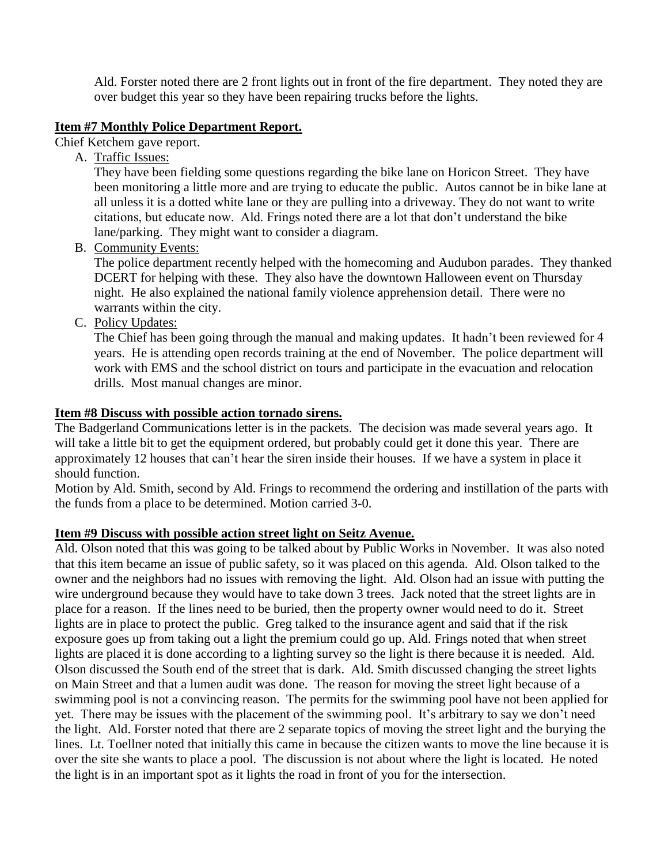Ald. Forster noted there are 2 front lights out in front of the fire department. They noted they are over budget this year so they have been repairing trucks before the lights.

#### **Item #7 Monthly Police Department Report.**

Chief Ketchem gave report.

A. Traffic Issues:

They have been fielding some questions regarding the bike lane on Horicon Street. They have been monitoring a little more and are trying to educate the public. Autos cannot be in bike lane at all unless it is a dotted white lane or they are pulling into a driveway. They do not want to write citations, but educate now. Ald. Frings noted there are a lot that don't understand the bike lane/parking. They might want to consider a diagram.

B. Community Events:

The police department recently helped with the homecoming and Audubon parades. They thanked DCERT for helping with these. They also have the downtown Halloween event on Thursday night. He also explained the national family violence apprehension detail. There were no warrants within the city.

C. Policy Updates:

The Chief has been going through the manual and making updates. It hadn't been reviewed for 4 years. He is attending open records training at the end of November. The police department will work with EMS and the school district on tours and participate in the evacuation and relocation drills. Most manual changes are minor.

## **Item #8 Discuss with possible action tornado sirens.**

The Badgerland Communications letter is in the packets. The decision was made several years ago. It will take a little bit to get the equipment ordered, but probably could get it done this year. There are approximately 12 houses that can't hear the siren inside their houses. If we have a system in place it should function.

Motion by Ald. Smith, second by Ald. Frings to recommend the ordering and instillation of the parts with the funds from a place to be determined. Motion carried 3-0.

## **Item #9 Discuss with possible action street light on Seitz Avenue.**

Ald. Olson noted that this was going to be talked about by Public Works in November. It was also noted that this item became an issue of public safety, so it was placed on this agenda. Ald. Olson talked to the owner and the neighbors had no issues with removing the light. Ald. Olson had an issue with putting the wire underground because they would have to take down 3 trees. Jack noted that the street lights are in place for a reason. If the lines need to be buried, then the property owner would need to do it. Street lights are in place to protect the public. Greg talked to the insurance agent and said that if the risk exposure goes up from taking out a light the premium could go up. Ald. Frings noted that when street lights are placed it is done according to a lighting survey so the light is there because it is needed. Ald. Olson discussed the South end of the street that is dark. Ald. Smith discussed changing the street lights on Main Street and that a lumen audit was done. The reason for moving the street light because of a swimming pool is not a convincing reason. The permits for the swimming pool have not been applied for yet. There may be issues with the placement of the swimming pool. It's arbitrary to say we don't need the light. Ald. Forster noted that there are 2 separate topics of moving the street light and the burying the lines. Lt. Toellner noted that initially this came in because the citizen wants to move the line because it is over the site she wants to place a pool. The discussion is not about where the light is located. He noted the light is in an important spot as it lights the road in front of you for the intersection.